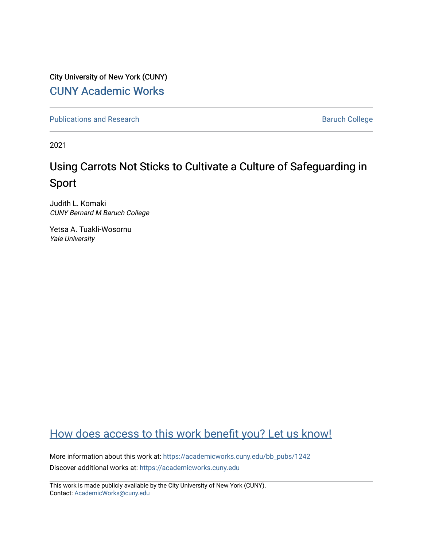City University of New York (CUNY) [CUNY Academic Works](https://academicworks.cuny.edu/) 

[Publications and Research](https://academicworks.cuny.edu/bb_pubs) **Baruch College** Baruch College

2021

## Using Carrots Not Sticks to Cultivate a Culture of Safeguarding in Sport

Judith L. Komaki CUNY Bernard M Baruch College

Yetsa A. Tuakli-Wosornu Yale University

## [How does access to this work benefit you? Let us know!](http://ols.cuny.edu/academicworks/?ref=https://academicworks.cuny.edu/bb_pubs/1242)

More information about this work at: [https://academicworks.cuny.edu/bb\\_pubs/1242](https://academicworks.cuny.edu/bb_pubs/1242) Discover additional works at: [https://academicworks.cuny.edu](https://academicworks.cuny.edu/?)

This work is made publicly available by the City University of New York (CUNY). Contact: [AcademicWorks@cuny.edu](mailto:AcademicWorks@cuny.edu)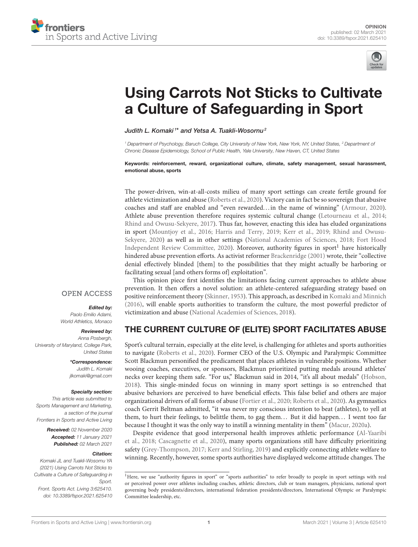



# [Using Carrots Not Sticks to Cultivate](https://www.frontiersin.org/articles/10.3389/fspor.2021.625410/full) a Culture of Safeguarding in Sport

Judith L. Komaki<sup>1\*</sup> and Yetsa A. Tuakli-Wosornu<sup>2</sup>

*<sup>1</sup> Department of Psychology, Baruch College, City University of New York, New York, NY, United States, <sup>2</sup> Department of Chronic Disease Epidemiology, School of Public Health, Yale University, New Haven, CT, United States*

Keywords: reinforcement, reward, organizational culture, climate, safety management, sexual harassment, emotional abuse, sports

The power-driven, win-at-all-costs milieu of many sport settings can create fertile ground for athlete victimization and abuse [\(Roberts et al., 2020\)](#page-5-0). Victory can in fact be so sovereign that abusive coaches and staff are enabled and "even rewarded... in the name of winning" [\(Armour, 2020\)](#page-5-1). Athlete abuse prevention therefore requires systemic cultural change [\(Letourneau et al., 2014;](#page-5-2) [Rhind and Owusu-Sekyere, 2017\)](#page-5-3). Thus far, however, enacting this idea has eluded organizations in sport [\(Mountjoy et al., 2016;](#page-5-4) [Harris and Terry, 2019;](#page-5-5) [Kerr et al., 2019;](#page-5-6) Rhind and Owusu-Sekyere, [2020\)](#page-5-7) as well as in other settings [\(National Academies of Sciences, 2018;](#page-5-8) Fort Hood Independent Review Committee, [2020\)](#page-5-9). Moreover, authority figures in sport<sup>[1](#page-1-0)</sup> have historically hindered abuse prevention efforts. As activist reformer [Brackenridge \(2001\)](#page-5-10) wrote, their "collective denial effectively blinded [them] to the possibilities that they might actually be harboring or facilitating sexual [and others forms of] exploitation".

#### **OPEN ACCESS**

#### Edited by:

*Paolo Emilio Adami, World Athletics, Monaco*

#### Reviewed by:

*Anna Posbergh, University of Maryland, College Park, United States*

> \*Correspondence: *Judith L. Komaki [jlkomaki@gmail.com](mailto:jlkomaki@gmail.com)*

#### Specialty section:

*This article was submitted to Sports Management and Marketing, a section of the journal Frontiers in Sports and Active Living*

> Received: *02 November 2020* Accepted: *11 January 2021* Published: *02 March 2021*

#### Citation:

*Komaki JL and Tuakli-Wosornu YA (2021) Using Carrots Not Sticks to Cultivate a Culture of Safeguarding in Sport. Front. Sports Act. Living 3:625410. doi: [10.3389/fspor.2021.625410](https://doi.org/10.3389/fspor.2021.625410)*

This opinion piece first identifies the limitations facing current approaches to athlete abuse prevention. It then offers a novel solution: an athlete-centered safeguarding strategy based on positive reinforcement theory [\(Skinner, 1953\)](#page-6-0). This approach, as described in [Komaki and Minnich](#page-5-11) [\(2016\)](#page-5-11), will enable sports authorities to transform the culture, the most powerful predictor of victimization and abuse [\(National Academies of Sciences, 2018\)](#page-5-8).

## THE CURRENT CULTURE OF (ELITE) SPORT FACILITATES ABUSE

Sport's cultural terrain, especially at the elite level, is challenging for athletes and sports authorities to navigate [\(Roberts et al., 2020\)](#page-5-0). Former CEO of the U.S. Olympic and Paralympic Committee Scott Blackmun personified the predicament that places athletes in vulnerable positions. Whether wooing coaches, executives, or sponsors, Blackmun prioritized putting medals around athletes' necks over keeping them safe. "For us," Blackmun said in 2014, "it's all about medals" [\(Hobson,](#page-5-12) [2018\)](#page-5-12). This single-minded focus on winning in many sport settings is so entrenched that abusive behaviors are perceived to have beneficial effects. This false belief and others are major organizational drivers of all forms of abuse [\(Fortier et al., 2020;](#page-5-13) [Roberts et al., 2020\)](#page-5-0). As gymnastics coach Gerrit Beltman admitted, "it was never my conscious intention to beat (athletes), to yell at them, to hurt their feelings, to belittle them, to gag them. . . But it did happen. . . I went too far because I thought it was the only way to instill a winning mentality in them" [\(Macur, 2020a\)](#page-5-14).

Despite evidence that good interpersonal health improves athletic performance (Al-Yaaribi et al., [2018;](#page-4-0) [Cascagnette et al., 2020\)](#page-5-15), many sports organizations still have difficulty prioritizing safety [\(Grey-Thompson, 2017;](#page-5-16) [Kerr and Stirling, 2019\)](#page-5-17) and explicitly connecting athlete welfare to winning. Recently, however, some sports authorities have displayed welcome attitude changes. The

<span id="page-1-0"></span><sup>&</sup>lt;sup>1</sup>Here, we use "authority figures in sport" or "sports authorities" to refer broadly to people in sport settings with real or perceived power over athletes including coaches, athletic directors, club or team managers, physicians, national sport governing body presidents/directors, international federation presidents/directors, International Olympic or Paralympic Committee leadership, etc.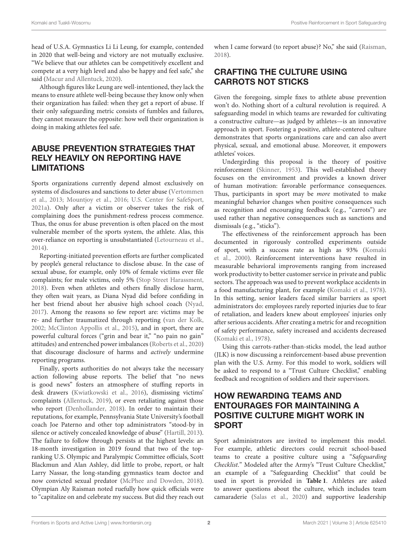head of U.S.A. Gymnastics Li Li Leung, for example, contended in 2020 that well-being and victory are not mutually exclusive. "We believe that our athletes can be competitively excellent and compete at a very high level and also be happy and feel safe," she said [\(Macur and Allentuck, 2020\)](#page-5-18).

Although figures like Leung are well-intentioned, they lack the means to ensure athlete well-being because they know only when their organization has failed: when they get a report of abuse. If their only safeguarding metric consists of fumbles and failures, they cannot measure the opposite: how well their organization is doing in making athletes feel safe.

## ABUSE PREVENTION STRATEGIES THAT RELY HEAVILY ON REPORTING HAVE LIMITATIONS

Sports organizations currently depend almost exclusively on systems of disclosures and sanctions to deter abuse (Vertommen et al., [2013;](#page-6-1) [Mountjoy et al., 2016;](#page-5-4) [U.S. Center for SafeSport,](#page-6-2) [2021a\)](#page-6-2). Only after a victim or observer takes the risk of complaining does the punishment-redress process commence. Thus, the onus for abuse prevention is often placed on the most vulnerable member of the sports system, the athlete. Alas, this over-reliance on reporting is unsubstantiated [\(Letourneau et al.,](#page-5-2) [2014\)](#page-5-2).

Reporting-initiated prevention efforts are further complicated by people's general reluctance to disclose abuse. In the case of sexual abuse, for example, only 10% of female victims ever file complaints; for male victims, only 5% [\(Stop Street Harassment,](#page-6-3) [2018\)](#page-6-3). Even when athletes and others finally disclose harm, they often wait years, as Diana Nyad did before confiding in her best friend about her abusive high school coach [\(Nyad,](#page-5-19) [2017\)](#page-5-19). Among the reasons so few report are: victims may be re- and further traumatized through reporting [\(van der Kolk,](#page-6-4) [2002;](#page-6-4) [McClinton Appollis et al., 2015\)](#page-5-20), and in sport, there are powerful cultural forces ("grin and bear it," "no pain no gain" attitudes) and entrenched power imbalances [\(Roberts et al., 2020\)](#page-5-0) that discourage disclosure of harms and actively undermine reporting programs.

Finally, sports authorities do not always take the necessary action following abuse reports. The belief that "no news is good news" fosters an atmosphere of stuffing reports in desk drawers [\(Kwiatkowski et al., 2016\)](#page-5-21), dismissing victims' complaints [\(Allentuck, 2019\)](#page-4-1), or even retaliating against those who report [\(Denhollander, 2018\)](#page-5-22). In order to maintain their reputations, for example, Pennsylvania State University's football coach Joe Paterno and other top administrators "stood-by in silence or actively concealed knowledge of abuse" [\(Hartill, 2013\)](#page-5-23). The failure to follow through persists at the highest levels: an 18-month investigation in 2019 found that two of the topranking U.S. Olympic and Paralympic Committee officials, Scott Blackmun and Alan Ashley, did little to probe, report, or halt Larry Nassar, the long-standing gymnastics team doctor and now convicted sexual predator [\(McPhee and Dowden, 2018\)](#page-5-24). Olympian Aly Raisman noted ruefully how quick officials were to "capitalize on and celebrate my success. But did they reach out when I came forward (to report abuse)? No," she said [\(Raisman,](#page-5-25) [2018\)](#page-5-25).

## CRAFTING THE CULTURE USING CARROTS NOT STICKS

Given the foregoing, simple fixes to athlete abuse prevention won't do. Nothing short of a cultural revolution is required. A safeguarding model in which teams are rewarded for cultivating a constructive culture—as judged by athletes—is an innovative approach in sport. Fostering a positive, athlete-centered culture demonstrates that sports organizations care and can also avert physical, sexual, and emotional abuse. Moreover, it empowers athletes' voices.

Undergirding this proposal is the theory of positive reinforcement [\(Skinner, 1953\)](#page-6-0). This well-established theory focuses on the environment and provides a known driver of human motivation: favorable performance consequences. Thus, participants in sport may be more motivated to make meaningful behavior changes when positive consequences such as recognition and encouraging feedback (e.g., "carrots") are used rather than negative consequences such as sanctions and dismissals (e.g., "sticks").

The effectiveness of the reinforcement approach has been documented in rigorously controlled experiments outside of sport, with a success rate as high as 93% (Komaki et al., [2000\)](#page-5-26). Reinforcement interventions have resulted in measurable behavioral improvements ranging from increased work productivity to better customer service in private and public sectors. The approach was used to prevent workplace accidents in a food manufacturing plant, for example [\(Komaki et al., 1978\)](#page-5-27). In this setting, senior leaders faced similar barriers as sport administrators do: employees rarely reported injuries due to fear of retaliation, and leaders knew about employees' injuries only after serious accidents. After creating a metric for and recognition of safety performance, safety increased and accidents decreased [\(Komaki et al., 1978\)](#page-5-27).

Using this carrots-rather-than-sticks model, the lead author (JLK) is now discussing a reinforcement-based abuse prevention plan with the U.S. Army. For this model to work, soldiers will be asked to respond to a "Trust Culture Checklist," enabling feedback and recognition of soldiers and their supervisors.

### HOW REWARDING TEAMS AND ENTOURAGES FOR MAINTAINING A POSITIVE CULTURE MIGHT WORK IN **SPORT**

Sport administrators are invited to implement this model. For example, athletic directors could recruit school-based teams to create a positive culture using a "Safeguarding Checklist." Modeled after the Army's "Trust Culture Checklist," an example of a "Safeguarding Checklist" that could be used in sport is provided in **[Table 1](#page-3-0)**. Athletes are asked to answer questions about the culture, which includes team camaraderie [\(Salas et al., 2020\)](#page-6-5) and supportive leadership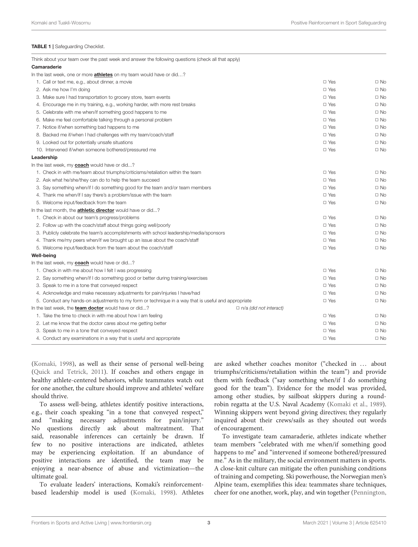#### <span id="page-3-0"></span>TABLE 1 | Safeguarding Checklist.

| Think about your team over the past week and answer the following questions (check all that apply)  |                               |              |
|-----------------------------------------------------------------------------------------------------|-------------------------------|--------------|
| Camaraderie                                                                                         |                               |              |
| In the last week, one or more <b>athletes</b> on my team would have or did?                         |                               |              |
| 1. Call or text me, e.g., about dinner, a movie                                                     | $\square$ Yes                 | $\square$ No |
| 2. Ask me how I'm doing                                                                             | $\square$ Yes                 | $\square$ No |
| 3. Make sure I had transportation to grocery store, team events                                     | $\square$ Yes                 | $\square$ No |
| 4. Encourage me in my training, e.g., working harder, with more rest breaks                         | $\Box$ Yes                    | $\square$ No |
| 5. Celebrate with me when/if something good happens to me                                           | $\square$ Yes                 | $\square$ No |
| 6. Make me feel comfortable talking through a personal problem                                      | $\square$ Yes                 | $\square$ No |
| 7. Notice if/when something bad happens to me                                                       | $\square$ Yes                 | $\square$ No |
| 8. Backed me if/when I had challenges with my team/coach/staff                                      | $\square$ Yes                 | $\square$ No |
| 9. Looked out for potentially unsafe situations                                                     | $\square$ Yes                 | $\square$ No |
| 10. Intervened if/when someone bothered/pressured me                                                | $\Box$ Yes                    | $\square$ No |
| Leadership                                                                                          |                               |              |
| In the last week, my coach would have or did?                                                       |                               |              |
| 1. Check in with me/team about triumphs/criticisms/retaliation within the team                      | $\square$ Yes                 | $\square$ No |
| 2. Ask what he/she/they can do to help the team succeed                                             | $\square$ Yes                 | $\square$ No |
| 3. Say something when/if I do something good for the team and/or team members                       | $\square$ Yes                 | $\square$ No |
| 4. Thank me when/if I say there's a problem/issue with the team                                     | $\square$ Yes                 | $\square$ No |
| 5. Welcome input/feedback from the team                                                             | $\square$ Yes                 | $\square$ No |
| In the last month, the athletic director would have or did?                                         |                               |              |
| 1. Check in about our team's progress/problems                                                      | $\square$ Yes                 | $\square$ No |
| 2. Follow up with the coach/staff about things going well/poorly                                    | $\square$ Yes                 | $\square$ No |
| 3. Publicly celebrate the team's accomplishments with school leadership/media/sponsors              | $\Box$ Yes                    | $\square$ No |
| 4. Thank me/my peers when/if we brought up an issue about the coach/staff                           | $\square$ Yes                 | $\square$ No |
| 5. Welcome input/feedback from the team about the coach/staff                                       | $\Box$ Yes                    | $\square$ No |
| Well-being                                                                                          |                               |              |
| In the last week, my coach would have or did?                                                       |                               |              |
| 1. Check in with me about how I felt I was progressing                                              | $\Box$ Yes                    | □ No         |
| 2. Say something when/if I do something good or better during training/exercises                    | $\square$ Yes                 | $\square$ No |
| 3. Speak to me in a tone that conveyed respect                                                      | $\square$ Yes                 | $\square$ No |
| 4. Acknowledge and make necessary adjustments for pain/injuries I have/had                          | $\Box$ Yes                    | □ No         |
| 5. Conduct any hands-on adjustments to my form or technique in a way that is useful and appropriate | $\Box$ Yes                    | $\square$ No |
| In the last week, the <b>team doctor</b> would have or did?                                         | $\Box$ n/a (did not interact) |              |
| 1. Take the time to check in with me about how I am feeling                                         | $\square$ Yes                 | $\square$ No |
| 2. Let me know that the doctor cares about me getting better                                        | $\square$ Yes                 | $\square$ No |
| 3. Speak to me in a tone that conveyed respect                                                      | $\square$ Yes                 | $\square$ No |
| 4. Conduct any examinations in a way that is useful and appropriate                                 | $\square$ Yes                 | $\square$ No |

[\(Komaki, 1998\)](#page-5-28), as well as their sense of personal well-being [\(Quick and Tetrick, 2011\)](#page-5-29). If coaches and others engage in healthy athlete-centered behaviors, while teammates watch out for one another, the culture should improve and athletes' welfare should thrive.

To assess well-being, athletes identify positive interactions, e.g., their coach speaking "in a tone that conveyed respect," and "making necessary adjustments for pain/injury." No questions directly ask about maltreatment. That said, reasonable inferences can certainly be drawn. If few to no positive interactions are indicated, athletes may be experiencing exploitation. If an abundance of positive interactions are identified, the team may be enjoying a near-absence of abuse and victimization—the ultimate goal.

To evaluate leaders' interactions, Komaki's reinforcementbased leadership model is used [\(Komaki, 1998\)](#page-5-28). Athletes are asked whether coaches monitor ("checked in ... about triumphs/criticisms/retaliation within the team") and provide them with feedback ("say something when/if I do something good for the team"). Evidence for the model was provided, among other studies, by sailboat skippers during a roundrobin regatta at the U.S. Naval Academy [\(Komaki et al., 1989\)](#page-5-30). Winning skippers went beyond giving directives; they regularly inquired about their crews/sails as they shouted out words of encouragement.

To investigate team camaraderie, athletes indicate whether team members "celebrated with me when/if something good happens to me" and "intervened if someone bothered/pressured me." As in the military, the social environment matters in sports. A close-knit culture can mitigate the often punishing conditions of training and competing. Ski powerhouse, the Norwegian men's Alpine team, exemplifies this idea: teammates share techniques, cheer for one another, work, play, and win together [\(Pennington,](#page-5-31)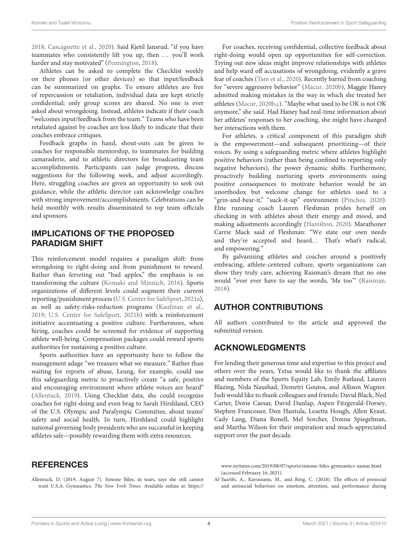[2018;](#page-5-31) [Cascagnette et al., 2020\)](#page-5-15). Said Kjetil Jansrud, "if you have teammates who consistently lift you up, then ... you'll work harder and stay motivated" [\(Pennington, 2018\)](#page-5-31).

Athletes can be asked to complete the Checklist weekly on their phones (or other devices) so that input/feedback can be summarized on graphs. To ensure athletes are free of repercussion or retaliation, individual data are kept strictly confidential; only group scores are shared. No one is ever asked about wrongdoing. Instead, athletes indicate if their coach "welcomes input/feedback from the team." Teams who have been retaliated against by coaches are less likely to indicate that their coaches embrace critiques.

Feedback graphs in hand, shout-outs can be given to coaches for responsible mentorship, to teammates for building camaraderie, and to athletic directors for broadcasting team accomplishments. Participants can judge progress, discuss suggestions for the following week, and adjust accordingly. Here, struggling coaches are given an opportunity to seek out guidance, while the athletic director can acknowledge coaches with strong improvement/accomplishments. Celebrations can be held monthly with results disseminated to top team officials and sponsors.

#### IMPLICATIONS OF THE PROPOSED PARADIGM SHIFT

This reinforcement model requires a paradigm shift: from wrongdoing to right-doing and from punishment to reward. Rather than ferreting out "bad apples," the emphasis is on transforming the culture [\(Komaki and Minnich, 2016\)](#page-5-11). Sports organizations of different levels could augment their current reporting/punishment process [\(U.S. Center for SafeSport, 2021a\)](#page-6-2), as well as safety-risks-reduction programs [\(Kaufman et al.,](#page-5-32) [2019;](#page-5-32) [U.S. Center for SafeSport, 2021b\)](#page-6-6) with a reinforcement initiative accentuating a positive culture. Furthermore, when hiring, coaches could be screened for evidence of supporting athlete well-being. Compensation packages could reward sports authorities for sustaining a positive culture.

Sports authorities have an opportunity here to follow the management adage "we treasure what we measure." Rather than waiting for reports of abuse, Leung, for example, could use this safeguarding metric to proactively create "a safe, positive and encouraging environment where athlete voices are heard" [\(Allentuck, 2019\)](#page-4-1). Using Checklist data, she could recognize coaches for right-doing and even brag to Sarah Hirshland, CEO of the U.S. Olympic and Paralympic Committee, about teams' safety and social health. In turn, Hirshland could highlight national governing body presidents who are successful in keeping athletes safe—possibly rewarding them with extra resources.

## **REFERENCES**

<span id="page-4-1"></span>Allentuck, D. (2019, August 7). Simone Biles, in tears, says she still cannot trust U.S.A. Gymnastics. The New York Times. Available online at: [https://](https://www.nytimes.com/2019/08/07/sports/simone-biles-gymnastics-nassar.html)

For coaches, receiving confidential, collective feedback about right-doing would open up opportunities for self-correction. Trying out new ideas might improve relationships with athletes and help ward off accusations of wrongdoing, evidently a grave fear of coaches [\(Tam et al., 2020\)](#page-6-7). Recently barred from coaching for "severe aggressive behavior" [\(Macur, 2020b\)](#page-5-33), Maggie Haney admitted making mistakes in the way in which she treated her athletes [\(Macur, 2020b,](#page-5-33)[c\)](#page-5-34). "Maybe what used to be OK is not OK anymore," she said. Had Haney had real-time information about her athletes' responses to her coaching, she might have changed her interactions with them.

For athletes, a critical component of this paradigm shift is the empowerment—and subsequent prioritizing—of their voices. By using a safeguarding metric where athletes highlight positive behaviors (rather than being confined to reporting only negative behaviors), the power dynamic shifts. Furthermore, proactively building nurturing sports environments using positive consequences to motivate behavior would be an unorthodox but welcome change for athletes used to a "grin-and-bear-it," "suck-it-up" environment [\(Pinches, 2020\)](#page-5-35). Elite running coach Lauren Fleshman prides herself on checking in with athletes about their energy and mood, and making adjustments accordingly [\(Hamilton, 2020\)](#page-5-36). Marathoner Carrie Mack said of Fleshman: "We state our own needs and they're accepted and heard... That's what's radical, and empowering."

By galvanizing athletes and coaches around a positively embracing, athlete-centered culture, sports organizations can show they truly care, achieving Raisman's dream that no one would "ever ever have to say the words, 'Me too"' [\(Raisman,](#page-5-25) [2018\)](#page-5-25).

#### AUTHOR CONTRIBUTIONS

All authors contributed to the article and approved the submitted version.

## ACKNOWLEDGMENTS

For lending their generous time and expertise to this project and others over the years, Yetsa would like to thank the affiliates and members of the Sports Equity Lab, Emily Rutland, Lauren Blazing, Nida Naushad, Demetri Goutos, and Allison Wagner. Judi would like to thank colleagues and friends: David Black, Ned Carter, Dorie Caesar, David Dunlap, Aspen Fitzgerald-Dorsey, Stephen Francouer, Don Hantula, Leaetta Hough, Allen Kraut, Cady Lang, Diana Ronell, Mel Sorcher, Donna Spiegelman, and Martha Wilson for their inspiration and much-appreciated support over the past decade.

[www.nytimes.com/2019/08/07/sports/simone-biles-gymnastics-nassar.html](https://www.nytimes.com/2019/08/07/sports/simone-biles-gymnastics-nassar.html) (accessed February 16, 2021).

<span id="page-4-0"></span>Al-Yaaribi, A., Kavussanu, M., and Ring, C. (2018). The effects of prosocial and antisocial behaviors on emotion, attention, and performance during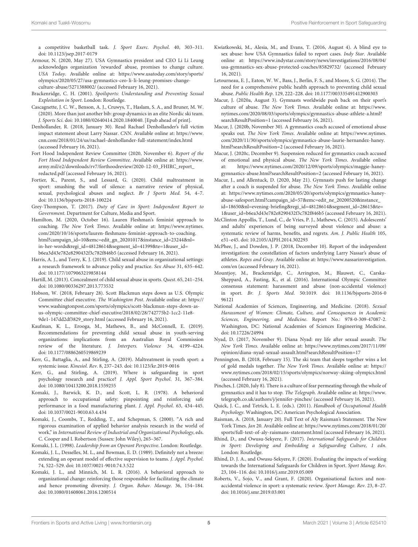a competitive basketball task. J. Sport Exerc. Psychol. 40, 303–311. doi: [10.1123/jsep.2017-0179](https://doi.org/10.1123/jsep.2017-0179)

- <span id="page-5-1"></span>Armour, N. (2020, May 27). USA Gymnastics president and CEO Li Li Leung acknowledges organization 'rewarded' abuse, promises to change culture. USA Today. Available online at: [https://www.usatoday.com/story/sports/](https://www.usatoday.com/story/sports/olympics/2020/05/27/usa-gymnastics-ceo-li-li-leung-promises-change-culture-abuse/5271388002/) [olympics/2020/05/27/usa-gymnastics-ceo-li-li-leung-promises-change](https://www.usatoday.com/story/sports/olympics/2020/05/27/usa-gymnastics-ceo-li-li-leung-promises-change-culture-abuse/5271388002/)[culture-abuse/5271388002/](https://www.usatoday.com/story/sports/olympics/2020/05/27/usa-gymnastics-ceo-li-li-leung-promises-change-culture-abuse/5271388002/) (accessed February 16, 2021).
- <span id="page-5-10"></span>Brackenridge, C. H. (2001). Spoilsports: Understanding and Preventing Sexual Exploitation in Sport. London: Routledge.
- <span id="page-5-15"></span>Cascagnette, J. C. W., Benson, A. J., Cruwys, T., Haslam, S. A., and Bruner, M. W. (2020). More than just another bib: group dynamics in an elite Nordic ski team. J. Sports Sci. doi: [10.1080/02640414.2020.1840040.](https://doi.org/10.1080/02640414.2020.1840040) [Epub ahead of print].
- <span id="page-5-22"></span>Denhollander, R. (2018, January 30). Read Rachael Denhollander's full victim impact statement about Larry Nassar. CNN. Available online at: [https://www.](https://www.cnn.com/2018/01/24/us/rachael-denhollander-full-statement/index.html) [cnn.com/2018/01/24/us/rachael-denhollander-full-statement/index.html](https://www.cnn.com/2018/01/24/us/rachael-denhollander-full-statement/index.html) (accessed February 16, 2021).
- <span id="page-5-9"></span>Fort Hood Independent Review Committee (2020, November 6). Report of the Fort Hood Independent Review Committee. Available online at: [https://www.](https://www.army.mil/e2/downloads/rv7/forthoodreview/2020-12-03_FHIRC_report_redacted.pdf) [army.mil/e2/downloads/rv7/forthoodreview/2020-12-03\\_FHIRC\\_report\\_](https://www.army.mil/e2/downloads/rv7/forthoodreview/2020-12-03_FHIRC_report_redacted.pdf) [redacted.pdf](https://www.army.mil/e2/downloads/rv7/forthoodreview/2020-12-03_FHIRC_report_redacted.pdf) (accessed February 16, 2021).
- <span id="page-5-13"></span>Fortier, K., Parent, S., and Lessard, G. (2020). Child maltreatment in sport: smashing the wall of silence: a narrative review of physical, sexual, psychological abuses and neglect. Br J Sports Med. 54, 4–7. doi: [10.1136/bjsports-2018-100224](https://doi.org/10.1136/bjsports-2018-100224)
- <span id="page-5-16"></span>Grey-Thompson, T. (2017). Duty of Care in Sport: Independent Report to Government. Department for Culture, Media and Sport.
- <span id="page-5-36"></span>Hamilton, M. (2020, October 16). Lauren Fleshman's feminist approach to coaching. The New York Times. Available online at: [https://www.nytimes.](https://www.nytimes.com/2020/10/16/sports/lauren-fleshmans-feminist-approach-to-coaching.html?campaign_id=10&emc=edit_gn_20201017&instance_id=23244&nl=in-her-words®i_id=48128614&segment_id=41399&te=1&user_id=b6ea3d43e782e8290432f3c782f846b5) [com/2020/10/16/sports/lauren-fleshmans-feminist-approach-to-coaching.](https://www.nytimes.com/2020/10/16/sports/lauren-fleshmans-feminist-approach-to-coaching.html?campaign_id=10&emc=edit_gn_20201017&instance_id=23244&nl=in-her-words®i_id=48128614&segment_id=41399&te=1&user_id=b6ea3d43e782e8290432f3c782f846b5) [html?campaign\\_id=10&emc=edit\\_gn\\_20201017&instance\\_id=23244&nl=](https://www.nytimes.com/2020/10/16/sports/lauren-fleshmans-feminist-approach-to-coaching.html?campaign_id=10&emc=edit_gn_20201017&instance_id=23244&nl=in-her-words®i_id=48128614&segment_id=41399&te=1&user_id=b6ea3d43e782e8290432f3c782f846b5) [in-her-words&regi\\_id=48128614&segment\\_id=41399&te=1&user\\_id=](https://www.nytimes.com/2020/10/16/sports/lauren-fleshmans-feminist-approach-to-coaching.html?campaign_id=10&emc=edit_gn_20201017&instance_id=23244&nl=in-her-words®i_id=48128614&segment_id=41399&te=1&user_id=b6ea3d43e782e8290432f3c782f846b5) [b6ea3d43e782e8290432f3c782f846b5](https://www.nytimes.com/2020/10/16/sports/lauren-fleshmans-feminist-approach-to-coaching.html?campaign_id=10&emc=edit_gn_20201017&instance_id=23244&nl=in-her-words®i_id=48128614&segment_id=41399&te=1&user_id=b6ea3d43e782e8290432f3c782f846b5) (accessed February 16, 2021).
- <span id="page-5-5"></span>Harris, A. J., and Terry, K. J. (2019). Child sexual abuse in organizational settings: a research framework to advance policy and practice. Sex Abuse 31, 635–642. doi: [10.1177/1079063219858144](https://doi.org/10.1177/1079063219858144)
- <span id="page-5-23"></span>Hartill, M. (2013). Concealment of child sexual abuse in sports. Quest. 65, 241–254. doi: [10.1080/00336297.2013.773532](https://doi.org/10.1080/00336297.2013.773532)
- <span id="page-5-12"></span>Hobson, W. (2018, February 28). Scott Blackmun steps down as U.S. Olympic Committee chief executive. The Washington Post. Available online at: [https://](https://www.washingtonpost.com/sports/olympics/scott-blackmun-steps-down-as-us-olympic-committee-chief-executive/2018/02/28/742775b2-1cc2-11e8-9de1-147dd2df3829_story.html) [www.washingtonpost.com/sports/olympics/scott-blackmun-steps-down-as](https://www.washingtonpost.com/sports/olympics/scott-blackmun-steps-down-as-us-olympic-committee-chief-executive/2018/02/28/742775b2-1cc2-11e8-9de1-147dd2df3829_story.html)[us-olympic-committee-chief-executive/2018/02/28/742775b2-1cc2-11e8-](https://www.washingtonpost.com/sports/olympics/scott-blackmun-steps-down-as-us-olympic-committee-chief-executive/2018/02/28/742775b2-1cc2-11e8-9de1-147dd2df3829_story.html) [9de1-147dd2df3829\\_story.html](https://www.washingtonpost.com/sports/olympics/scott-blackmun-steps-down-as-us-olympic-committee-chief-executive/2018/02/28/742775b2-1cc2-11e8-9de1-147dd2df3829_story.html) (accessed February 16, 2021).
- <span id="page-5-32"></span>Kaufman, K. L., Erooga, M., Mathews, B., and McConnell, E. (2019). Recommendations for preventing child sexual abuse in youth-serving organizations: implications from an Australian Royal Commission review of the literature. J. Interpers. Violence 34, 4199–4224. doi: [10.1177/0886260519869239](https://doi.org/10.1177/0886260519869239)
- <span id="page-5-6"></span>Kerr, G., Battaglia, A., and Stirling, A. (2019). Maltreatment in youth sport: a systemic issue. Kinesiol. Rev. 8, 237–243. doi: [10.1123/kr.2019-0016](https://doi.org/10.1123/kr.2019-0016)
- <span id="page-5-17"></span>Kerr, G., and Stirling, A. (2019). Where is safeguarding in sport psychology research and practice? J. Appl. Sport Psychol. 31, 367–384. doi: [10.1080/10413200.2018.1559255](https://doi.org/10.1080/10413200.2018.1559255)
- <span id="page-5-27"></span>Komaki, J., Barwick, K. D., and Scott, L. R. (1978). A behavioral approach to occupational safety: pinpointing and reinforcing safe performance in a food manufacturing plant. J. Appl. Psychol. 63, 434–445. doi: [10.1037/0021-9010.63.4.434](https://doi.org/10.1037/0021-9010.63.4.434)
- <span id="page-5-26"></span>Komaki, J., Coombs, T., Redding, T., and Schepman, S. (2000). "A rich and rigorous examination of applied behavior analysis research in the world of work," in International Review of Industrial and Organizational Psychology, eds. C. Cooper and I. Robertson (Sussex: John Wiley), 265–367.
- <span id="page-5-28"></span>Komaki, J. L. (1998). Leadership from an Operant Perspective. London: Routledge.
- <span id="page-5-30"></span>Komaki, J. L., Desselles, M. L., and Bowman, E. D. (1989). Definitely not a breeze: extending an operant model of effective supervision to teams. J. Appl. Psychol. 74, 522–529. doi: [10.1037/0021-9010.74.3.522](https://doi.org/10.1037/0021-9010.74.3.522)
- <span id="page-5-11"></span>Komaki, J. L., and Minnich, M. L. R. (2016). A behavioral approach to organizational change: reinforcing those responsible for facilitating the climate and hence promoting diversity. J. Organ. Behav. Manage. 36, 154–184. doi: [10.1080/01608061.2016.1200514](https://doi.org/10.1080/01608061.2016.1200514)
- <span id="page-5-21"></span>Kwiatkowski, M., Alesia, M., and Evans, T. (2016, August 4). A blind eye to sex abuse: how USA Gymnastics failed to report cases. Indy Star. Available online at: [https://www.indystar.com/story/news/investigations/2016/08/04/](https://www.indystar.com/story/news/investigations/2016/08/04/usa-gymnastics-sex-abuse-protected-coaches/85829732/) [usa-gymnastics-sex-abuse-protected-coaches/85829732/](https://www.indystar.com/story/news/investigations/2016/08/04/usa-gymnastics-sex-abuse-protected-coaches/85829732/) (accessed February 16, 2021).
- <span id="page-5-2"></span>Letourneau, E. J., Eaton, W. W., Bass, J., Berlin, F. S., and Moore, S. G. (2014). The need for a comprehensive public health approach to preventing child sexual abuse. Public Health Rep. 129, 222–228. doi: [10.1177/003335491412900303](https://doi.org/10.1177/003335491412900303)
- <span id="page-5-14"></span>Macur, J. (2020a, August 3). Gymnasts worldwide push back on their sport's culture of abuse. The New York Times. Available online at: [https://www.](https://www.nytimes.com/2020/08/03/sports/olympics/gymnastics-abuse-athlete-a.html?searchResultPosition=1) [nytimes.com/2020/08/03/sports/olympics/gymnastics-abuse-athlete-a.html?](https://www.nytimes.com/2020/08/03/sports/olympics/gymnastics-abuse-athlete-a.html?searchResultPosition=1) [searchResultPosition=1](https://www.nytimes.com/2020/08/03/sports/olympics/gymnastics-abuse-athlete-a.html?searchResultPosition=1) (accessed February 16, 2021).
- <span id="page-5-33"></span>Macur, J. (2020b, November 30). A gymnastics coach accused of emotional abuse speaks out. The New York Times. Available online at: [https://www.nytimes.](https://www.nytimes.com/2020/11/30/sports/olympics/gymnastics-abuse-laurie-hernandez-haney.html?searchResultPosition=2) [com/2020/11/30/sports/olympics/gymnastics-abuse-laurie-hernandez-haney.](https://www.nytimes.com/2020/11/30/sports/olympics/gymnastics-abuse-laurie-hernandez-haney.html?searchResultPosition=2) [html?searchResultPosition=2](https://www.nytimes.com/2020/11/30/sports/olympics/gymnastics-abuse-laurie-hernandez-haney.html?searchResultPosition=2) (accessed February 16, 2021).
- <span id="page-5-34"></span>Macur, J. (2020c, December 9). Suspension reduced for gymnastics coach accused of emotional and physical abuse. The New York Times. Available online at: [https://www.nytimes.com/2020/12/09/sports/olympics/maggie-haney](https://www.nytimes.com/2020/12/09/sports/olympics/maggie-haney-gymnastics-abuse.html?searchResultPosition=2)[gymnastics-abuse.html?searchResultPosition=2](https://www.nytimes.com/2020/12/09/sports/olympics/maggie-haney-gymnastics-abuse.html?searchResultPosition=2) (accessed February 16, 2021).
- <span id="page-5-18"></span>Macur, J., and Allentuck, D. (2020, May 21). Gymnasts push for lasting change after a coach is suspended for abuse. The New York Times. Available online at: [https://www.nytimes.com/2020/05/20/sports/olympics/gymnastics-haney](https://www.nytimes.com/2020/05/20/sports/olympics/gymnastics-haney-abuse-safesport.html?campaign_id=57&emc=edit_ne_20200520&instance_id=18650&nl=evening-briefing®i_id=48128614&segment_id=28615&te=1&user_id=b6ea3d43e782e8290432f3c782f846b5)[abuse-safesport.html?campaign\\_id=57&emc=edit\\_ne\\_20200520&instance\\_](https://www.nytimes.com/2020/05/20/sports/olympics/gymnastics-haney-abuse-safesport.html?campaign_id=57&emc=edit_ne_20200520&instance_id=18650&nl=evening-briefing®i_id=48128614&segment_id=28615&te=1&user_id=b6ea3d43e782e8290432f3c782f846b5) [id=18650&nl=evening-briefing&regi\\_id=48128614&segment\\_id=28615&te=](https://www.nytimes.com/2020/05/20/sports/olympics/gymnastics-haney-abuse-safesport.html?campaign_id=57&emc=edit_ne_20200520&instance_id=18650&nl=evening-briefing®i_id=48128614&segment_id=28615&te=1&user_id=b6ea3d43e782e8290432f3c782f846b5)
- <span id="page-5-20"></span>[1&user\\_id=b6ea3d43e782e8290432f3c782f846b5](https://www.nytimes.com/2020/05/20/sports/olympics/gymnastics-haney-abuse-safesport.html?campaign_id=57&emc=edit_ne_20200520&instance_id=18650&nl=evening-briefing®i_id=48128614&segment_id=28615&te=1&user_id=b6ea3d43e782e8290432f3c782f846b5) (accessed February 16, 2021). McClinton Appollis, T., Lund, C., de Vries, P. J., Mathews, C. (2015). Adolescents' and adults' experiences of being surveyed about violence and abuse: a systematic review of harms, benefits, and regrets. Am. J. Public Health 105, e31–e45. doi: [10.2105/AJPH.2014.302293](https://doi.org/10.2105/AJPH.2014.302293)
- <span id="page-5-24"></span>McPhee, J., and Dowden, J. P. (2018, December 10). Report of the independent investigation: the constellation of factors underlying Larry Nassar's abuse of athletes. Ropes and Gray. Available online at: [https://www.nassarinvestigation.](https://www.nassarinvestigation.com/en) [com/en](https://www.nassarinvestigation.com/en) (accessed February 16, 2021).
- <span id="page-5-4"></span>Mountjoy, M., Brackenridge, C., Arrington, M., Blauwet, C., Carska-Sheppard, A., Fasting, K., et al. (2016). International Olympic Committee consensus statement: harassment and abuse (non-accidental violence) in sport. Br. J. Sports Med[. 50:1019. doi: 10.1136/bjsports-2016-0](https://doi.org/10.1136/bjsports-2016-096121) 96121
- <span id="page-5-8"></span>National Academies of Sciences, Engineering, and Medicine. (2018). Sexual Harassment of Women: Climate, Culture, and Consequences in Academic Sciences, Engineering, and Medicine. Report No.: 978-0-309-47087-2. Washington, DC: National Academies of Sciences Engineering Medicine. doi: [10.17226/24994](https://doi.org/10.17226/24994)
- <span id="page-5-19"></span>Nyad, D. (2017, November 9). Diana Nyad: my life after sexual assault. The New York Times. Available online at: [https://www.nytimes.com/2017/11/09/](https://www.nytimes.com/2017/11/09/opinion/diana-nyad-sexual-assault.html?searchResultPosition=17) [opinion/diana-nyad-sexual-assault.html?searchResultPosition=17](https://www.nytimes.com/2017/11/09/opinion/diana-nyad-sexual-assault.html?searchResultPosition=17)
- <span id="page-5-31"></span>Pennington, B. (2018, February 15). The ski team that sleeps together wins a lot of gold medals together. The New York Times. Available online at: [https://](https://www.nytimes.com/2018/02/15/sports/olympics/norway-skiing-olympics.html) [www.nytimes.com/2018/02/15/sports/olympics/norway-skiing-olympics.html](https://www.nytimes.com/2018/02/15/sports/olympics/norway-skiing-olympics.html) (accessed February 16, 2021).
- <span id="page-5-35"></span>Pinches, J. (2020, July 8). There is a culture of fear permeating through the whole of gymnastics and it has to stop. The Telegraph. Available online at: [https://www.](https://www.telegraph.co.uk/authors/j/jennifer-pinches/) [telegraph.co.uk/authors/j/jennifer-pinches/](https://www.telegraph.co.uk/authors/j/jennifer-pinches/) (accessed February 16, 2021).
- <span id="page-5-29"></span>Quick, J. C., and Tetrick, L. E. (eds.). (2011). Handbook of Occupational Health Psychology. Washington, DC: American Psychological Association.
- <span id="page-5-25"></span>Raisman, A. (2018, January 20). Full Text of Aly Raisman's Statement. The New York Times. Jan 20. Available online at: [https://www.nytimes.com/2018/01/20/](https://www.nytimes.com/2018/01/20/sports/full-text-of-aly-raismans-statement.html) [sports/full-text-of-aly-raismans-statement.html](https://www.nytimes.com/2018/01/20/sports/full-text-of-aly-raismans-statement.html) (accessed February 16, 2021).
- <span id="page-5-3"></span>Rhind, D., and Owusu-Sekyere, F. (2017). International Safeguards for Children in Sport: Developing and Embedding a Safeguarding Culture, 1 edn. London: Routledge.
- <span id="page-5-7"></span>Rhind, D. J. A., and Owusu-Sekyere, F. (2020). Evaluating the impacts of working towards the International Safeguards for Children in Sport. Sport Manag. Rev. 23, 104–116. doi: [10.1016/j.smr.2019.05.009](https://doi.org/10.1016/j.smr.2019.05.009)
- <span id="page-5-0"></span>Roberts, V., Sojo, V., and Grant, F. (2020). Organisational factors and nonaccidental violence in sport: a systematic review. Sport Manage. Rev. 23, 8–27. doi: [10.1016/j.smr.2019.03.001](https://doi.org/10.1016/j.smr.2019.03.001)